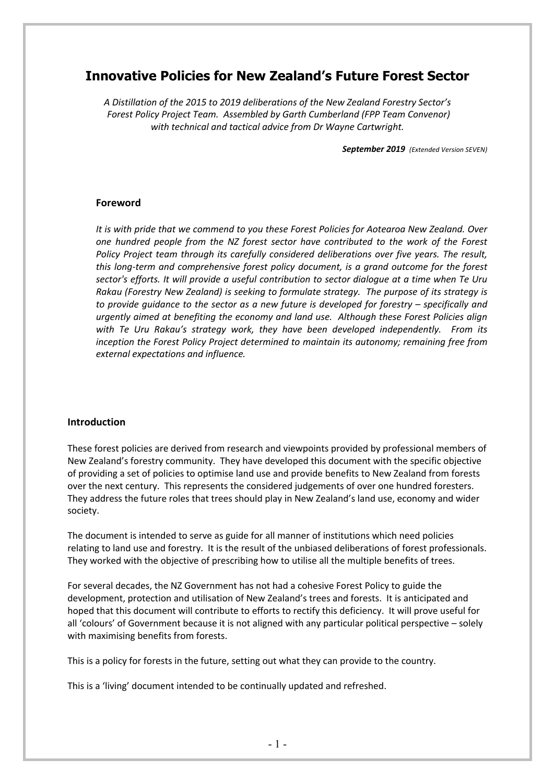# **Innovative Policies for New Zealand's Future Forest Sector**

*A Distillation of the 2015 to 2019 deliberations of the New Zealand Forestry Sector's Forest Policy Project Team. Assembled by Garth Cumberland (FPP Team Convenor) with technical and tactical advice from Dr Wayne Cartwright.*

*September 2019 (Extended Version SEVEN)*

### **Foreword**

*It is with pride that we commend to you these Forest Policies for Aotearoa New Zealand. Over one hundred people from the NZ forest sector have contributed to the work of the Forest Policy Project team through its carefully considered deliberations over five years. The result, this long-term and comprehensive forest policy document, is a grand outcome for the forest sector's efforts. It will provide a useful contribution to sector dialogue at a time when Te Uru Rakau (Forestry New Zealand) is seeking to formulate strategy. The purpose of its strategy is to provide guidance to the sector as a new future is developed for forestry – specifically and urgently aimed at benefiting the economy and land use. Although these Forest Policies align with Te Uru Rakau's strategy work, they have been developed independently. From its inception the Forest Policy Project determined to maintain its autonomy; remaining free from external expectations and influence.*

#### **Introduction**

These forest policies are derived from research and viewpoints provided by professional members of New Zealand's forestry community. They have developed this document with the specific objective of providing a set of policies to optimise land use and provide benefits to New Zealand from forests over the next century. This represents the considered judgements of over one hundred foresters. They address the future roles that trees should play in New Zealand's land use, economy and wider society.

The document is intended to serve as guide for all manner of institutions which need policies relating to land use and forestry. It is the result of the unbiased deliberations of forest professionals. They worked with the objective of prescribing how to utilise all the multiple benefits of trees.

For several decades, the NZ Government has not had a cohesive Forest Policy to guide the development, protection and utilisation of New Zealand's trees and forests. It is anticipated and hoped that this document will contribute to efforts to rectify this deficiency. It will prove useful for all 'colours' of Government because it is not aligned with any particular political perspective – solely with maximising benefits from forests.

This is a policy for forests in the future, setting out what they can provide to the country.

This is a 'living' document intended to be continually updated and refreshed.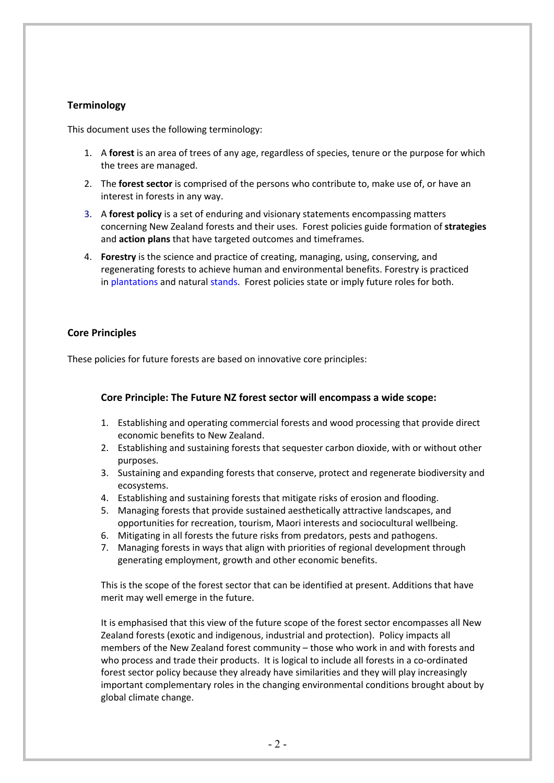### **Terminology**

This document uses the following terminology:

- 1. A **forest** is an area of trees of any age, regardless of species, tenure or the purpose for which the trees are managed.
- 2. The **forest sector** is comprised of the persons who contribute to, make use of, or have an interest in forests in any way.
- 3. A **forest policy** is a set of enduring and visionary statements encompassing matters concerning New Zealand forests and their uses. Forest policies guide formation of **strategies**  and **action plans** that have targeted outcomes and timeframes.
- 4. **Forestry** is the science and practice of creating, managing, using, conserving, and regenerating forests to achieve human and environmental benefits. Forestry is practiced in plantations and natural stands. Forest policies state or imply future roles for both.

### **Core Principles**

These policies for future forests are based on innovative core principles:

### **Core Principle: The Future NZ forest sector will encompass a wide scope:**

- 1. Establishing and operating commercial forests and wood processing that provide direct economic benefits to New Zealand.
- 2. Establishing and sustaining forests that sequester carbon dioxide, with or without other purposes.
- 3. Sustaining and expanding forests that conserve, protect and regenerate biodiversity and ecosystems.
- 4. Establishing and sustaining forests that mitigate risks of erosion and flooding.
- 5. Managing forests that provide sustained aesthetically attractive landscapes, and opportunities for recreation, tourism, Maori interests and sociocultural wellbeing.
- 6. Mitigating in all forests the future risks from predators, pests and pathogens.
- 7. Managing forests in ways that align with priorities of regional development through generating employment, growth and other economic benefits.

This is the scope of the forest sector that can be identified at present. Additions that have merit may well emerge in the future.

It is emphasised that this view of the future scope of the forest sector encompasses all New Zealand forests (exotic and indigenous, industrial and protection). Policy impacts all members of the New Zealand forest community – those who work in and with forests and who process and trade their products. It is logical to include all forests in a co-ordinated forest sector policy because they already have similarities and they will play increasingly important complementary roles in the changing environmental conditions brought about by global climate change.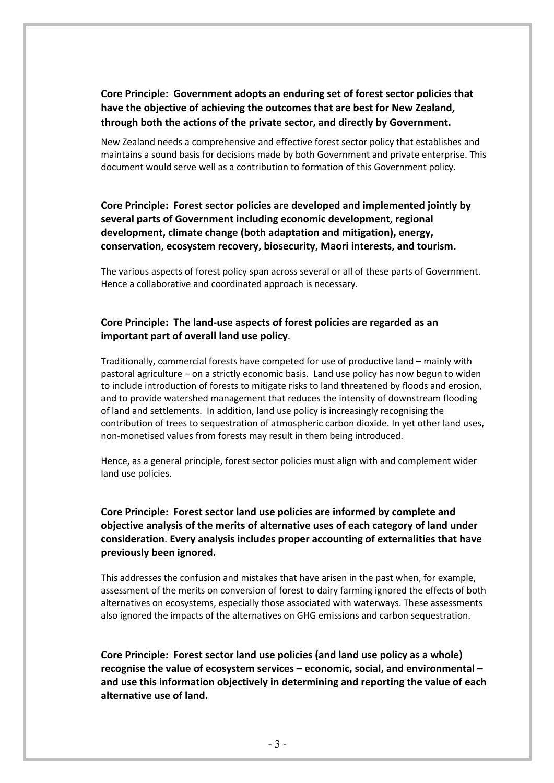## **Core Principle: Government adopts an enduring set of forest sector policies that have the objective of achieving the outcomes that are best for New Zealand, through both the actions of the private sector, and directly by Government.**

New Zealand needs a comprehensive and effective forest sector policy that establishes and maintains a sound basis for decisions made by both Government and private enterprise. This document would serve well as a contribution to formation of this Government policy.

**Core Principle: Forest sector policies are developed and implemented jointly by several parts of Government including economic development, regional development, climate change (both adaptation and mitigation), energy, conservation, ecosystem recovery, biosecurity, Maori interests, and tourism.**

The various aspects of forest policy span across several or all of these parts of Government. Hence a collaborative and coordinated approach is necessary.

### **Core Principle: The land-use aspects of forest policies are regarded as an important part of overall land use policy**.

Traditionally, commercial forests have competed for use of productive land – mainly with pastoral agriculture – on a strictly economic basis. Land use policy has now begun to widen to include introduction of forests to mitigate risks to land threatened by floods and erosion, and to provide watershed management that reduces the intensity of downstream flooding of land and settlements. In addition, land use policy is increasingly recognising the contribution of trees to sequestration of atmospheric carbon dioxide. In yet other land uses, non-monetised values from forests may result in them being introduced.

Hence, as a general principle, forest sector policies must align with and complement wider land use policies.

### **Core Principle: Forest sector land use policies are informed by complete and objective analysis of the merits of alternative uses of each category of land under consideration**. **Every analysis includes proper accounting of externalities that have previously been ignored.**

This addresses the confusion and mistakes that have arisen in the past when, for example, assessment of the merits on conversion of forest to dairy farming ignored the effects of both alternatives on ecosystems, especially those associated with waterways. These assessments also ignored the impacts of the alternatives on GHG emissions and carbon sequestration.

**Core Principle: Forest sector land use policies (and land use policy as a whole) recognise the value of ecosystem services – economic, social, and environmental – and use this information objectively in determining and reporting the value of each alternative use of land.**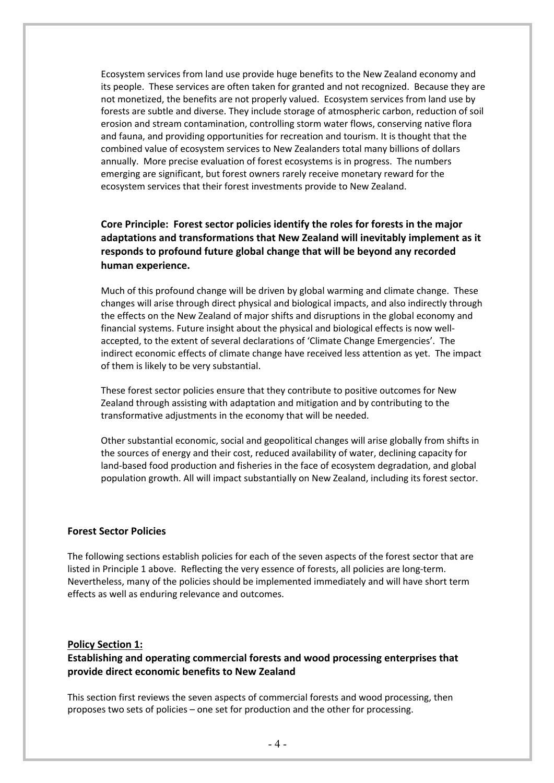Ecosystem services from land use provide huge benefits to the New Zealand economy and its people. These services are often taken for granted and not recognized. Because they are not monetized, the benefits are not properly valued. Ecosystem services from land use by forests are subtle and diverse. They include storage of atmospheric carbon, reduction of soil erosion and stream contamination, controlling storm water flows, conserving native flora and fauna, and providing opportunities for recreation and tourism. It is thought that the combined value of ecosystem services to New Zealanders total many billions of dollars annually. More precise evaluation of forest ecosystems is in progress. The numbers emerging are significant, but forest owners rarely receive monetary reward for the ecosystem services that their forest investments provide to New Zealand.

### **Core Principle: Forest sector policies identify the roles for forests in the major adaptations and transformations that New Zealand will inevitably implement as it responds to profound future global change that will be beyond any recorded human experience.**

Much of this profound change will be driven by global warming and climate change. These changes will arise through direct physical and biological impacts, and also indirectly through the effects on the New Zealand of major shifts and disruptions in the global economy and financial systems. Future insight about the physical and biological effects is now wellaccepted, to the extent of several declarations of 'Climate Change Emergencies'. The indirect economic effects of climate change have received less attention as yet. The impact of them is likely to be very substantial.

These forest sector policies ensure that they contribute to positive outcomes for New Zealand through assisting with adaptation and mitigation and by contributing to the transformative adjustments in the economy that will be needed.

Other substantial economic, social and geopolitical changes will arise globally from shifts in the sources of energy and their cost, reduced availability of water, declining capacity for land-based food production and fisheries in the face of ecosystem degradation, and global population growth. All will impact substantially on New Zealand, including its forest sector.

#### **Forest Sector Policies**

The following sections establish policies for each of the seven aspects of the forest sector that are listed in Principle 1 above. Reflecting the very essence of forests, all policies are long-term. Nevertheless, many of the policies should be implemented immediately and will have short term effects as well as enduring relevance and outcomes.

#### **Policy Section 1:**

### **Establishing and operating commercial forests and wood processing enterprises that provide direct economic benefits to New Zealand**

This section first reviews the seven aspects of commercial forests and wood processing, then proposes two sets of policies – one set for production and the other for processing.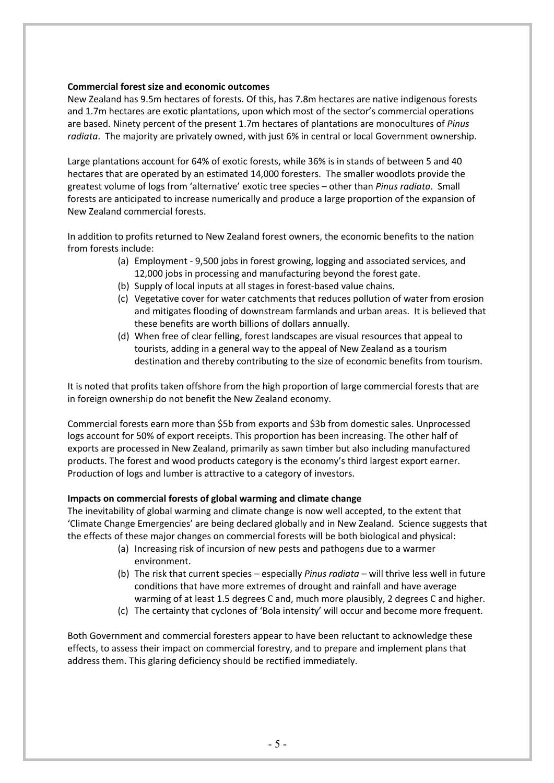### **Commercial forest size and economic outcomes**

New Zealand has 9.5m hectares of forests. Of this, has 7.8m hectares are native indigenous forests and 1.7m hectares are exotic plantations, upon which most of the sector's commercial operations are based. Ninety percent of the present 1.7m hectares of plantations are monocultures of *Pinus radiata*. The majority are privately owned, with just 6% in central or local Government ownership.

Large plantations account for 64% of exotic forests, while 36% is in stands of between 5 and 40 hectares that are operated by an estimated 14,000 foresters. The smaller woodlots provide the greatest volume of logs from 'alternative' exotic tree species – other than *Pinus radiata*. Small forests are anticipated to increase numerically and produce a large proportion of the expansion of New Zealand commercial forests.

In addition to profits returned to New Zealand forest owners, the economic benefits to the nation from forests include:

- (a) Employment 9,500 jobs in forest growing, logging and associated services, and 12,000 jobs in processing and manufacturing beyond the forest gate.
- (b) Supply of local inputs at all stages in forest-based value chains.
- (c) Vegetative cover for water catchments that reduces pollution of water from erosion and mitigates flooding of downstream farmlands and urban areas. It is believed that these benefits are worth billions of dollars annually.
- (d) When free of clear felling, forest landscapes are visual resources that appeal to tourists, adding in a general way to the appeal of New Zealand as a tourism destination and thereby contributing to the size of economic benefits from tourism.

It is noted that profits taken offshore from the high proportion of large commercial forests that are in foreign ownership do not benefit the New Zealand economy.

Commercial forests earn more than \$5b from exports and \$3b from domestic sales. Unprocessed logs account for 50% of export receipts. This proportion has been increasing. The other half of exports are processed in New Zealand, primarily as sawn timber but also including manufactured products. The forest and wood products category is the economy's third largest export earner. Production of logs and lumber is attractive to a category of investors.

### **Impacts on commercial forests of global warming and climate change**

The inevitability of global warming and climate change is now well accepted, to the extent that 'Climate Change Emergencies' are being declared globally and in New Zealand. Science suggests that the effects of these major changes on commercial forests will be both biological and physical:

- (a) Increasing risk of incursion of new pests and pathogens due to a warmer environment.
- (b) The risk that current species especially *Pinus radiata –* will thrive less well in future conditions that have more extremes of drought and rainfall and have average warming of at least 1.5 degrees C and, much more plausibly, 2 degrees C and higher.
- (c) The certainty that cyclones of 'Bola intensity' will occur and become more frequent.

Both Government and commercial foresters appear to have been reluctant to acknowledge these effects, to assess their impact on commercial forestry, and to prepare and implement plans that address them. This glaring deficiency should be rectified immediately.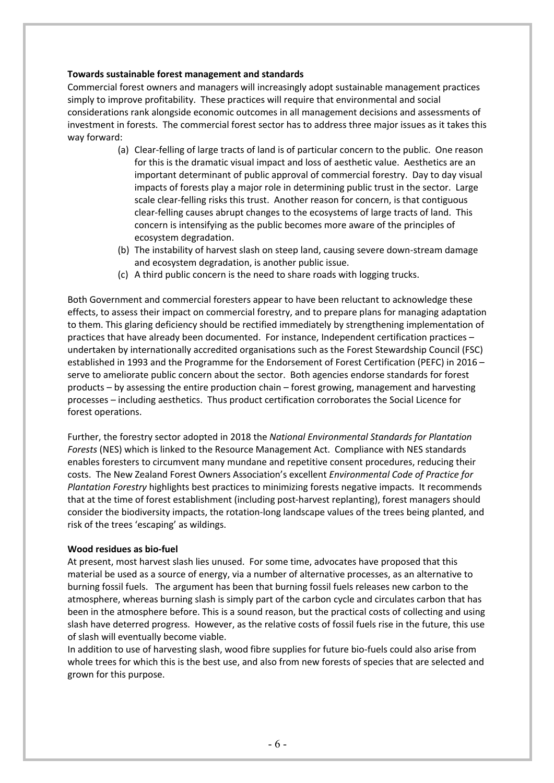### **Towards sustainable forest management and standards**

Commercial forest owners and managers will increasingly adopt sustainable management practices simply to improve profitability. These practices will require that environmental and social considerations rank alongside economic outcomes in all management decisions and assessments of investment in forests. The commercial forest sector has to address three major issues as it takes this way forward:

- (a) Clear-felling of large tracts of land is of particular concern to the public. One reason for this is the dramatic visual impact and loss of aesthetic value. Aesthetics are an important determinant of public approval of commercial forestry. Day to day visual impacts of forests play a major role in determining public trust in the sector. Large scale clear-felling risks this trust. Another reason for concern, is that contiguous clear-felling causes abrupt changes to the ecosystems of large tracts of land. This concern is intensifying as the public becomes more aware of the principles of ecosystem degradation.
- (b) The instability of harvest slash on steep land, causing severe down-stream damage and ecosystem degradation, is another public issue.
- (c) A third public concern is the need to share roads with logging trucks.

Both Government and commercial foresters appear to have been reluctant to acknowledge these effects, to assess their impact on commercial forestry, and to prepare plans for managing adaptation to them. This glaring deficiency should be rectified immediately by strengthening implementation of practices that have already been documented. For instance, Independent certification practices – undertaken by internationally accredited organisations such as the Forest Stewardship Council (FSC) established in 1993 and the Programme for the Endorsement of Forest Certification (PEFC) in 2016 – serve to ameliorate public concern about the sector. Both agencies endorse standards for forest products – by assessing the entire production chain – forest growing, management and harvesting processes – including aesthetics. Thus product certification corroborates the Social Licence for forest operations.

Further, the forestry sector adopted in 2018 the *National Environmental Standards for Plantation Forests* (NES) which is linked to the Resource Management Act. Compliance with NES standards enables foresters to circumvent many mundane and repetitive consent procedures, reducing their costs. The New Zealand Forest Owners Association's excellent *Environmental Code of Practice for Plantation Forestry* highlights best practices to minimizing forests negative impacts. It recommends that at the time of forest establishment (including post-harvest replanting), forest managers should consider the biodiversity impacts, the rotation-long landscape values of the trees being planted, and risk of the trees 'escaping' as wildings.

#### **Wood residues as bio-fuel**

At present, most harvest slash lies unused. For some time, advocates have proposed that this material be used as a source of energy, via a number of alternative processes, as an alternative to burning fossil fuels. The argument has been that burning fossil fuels releases new carbon to the atmosphere, whereas burning slash is simply part of the carbon cycle and circulates carbon that has been in the atmosphere before. This is a sound reason, but the practical costs of collecting and using slash have deterred progress. However, as the relative costs of fossil fuels rise in the future, this use of slash will eventually become viable.

In addition to use of harvesting slash, wood fibre supplies for future bio-fuels could also arise from whole trees for which this is the best use, and also from new forests of species that are selected and grown for this purpose.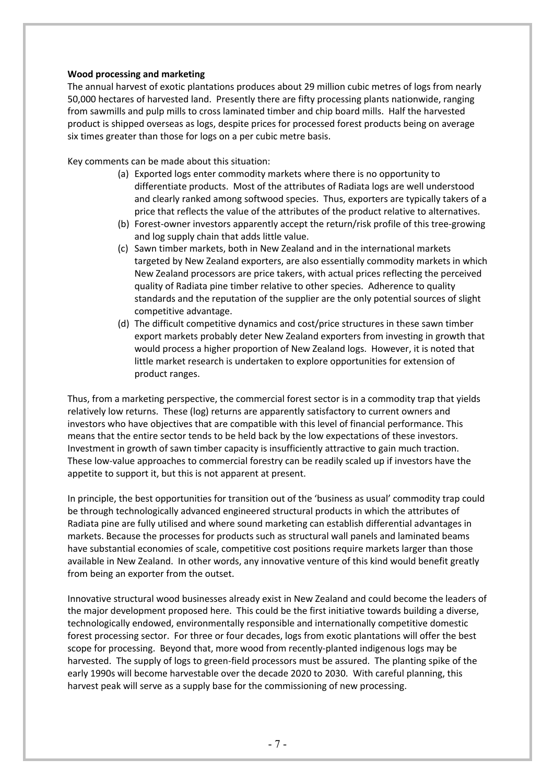### **Wood processing and marketing**

The annual harvest of exotic plantations produces about 29 million cubic metres of logs from nearly 50,000 hectares of harvested land. Presently there are fifty processing plants nationwide, ranging from sawmills and pulp mills to cross laminated timber and chip board mills. Half the harvested product is shipped overseas as logs, despite prices for processed forest products being on average six times greater than those for logs on a per cubic metre basis.

Key comments can be made about this situation:

- (a) Exported logs enter commodity markets where there is no opportunity to differentiate products. Most of the attributes of Radiata logs are well understood and clearly ranked among softwood species. Thus, exporters are typically takers of a price that reflects the value of the attributes of the product relative to alternatives.
- (b) Forest-owner investors apparently accept the return/risk profile of this tree-growing and log supply chain that adds little value.
- (c) Sawn timber markets, both in New Zealand and in the international markets targeted by New Zealand exporters, are also essentially commodity markets in which New Zealand processors are price takers, with actual prices reflecting the perceived quality of Radiata pine timber relative to other species. Adherence to quality standards and the reputation of the supplier are the only potential sources of slight competitive advantage.
- (d) The difficult competitive dynamics and cost/price structures in these sawn timber export markets probably deter New Zealand exporters from investing in growth that would process a higher proportion of New Zealand logs. However, it is noted that little market research is undertaken to explore opportunities for extension of product ranges.

Thus, from a marketing perspective, the commercial forest sector is in a commodity trap that yields relatively low returns. These (log) returns are apparently satisfactory to current owners and investors who have objectives that are compatible with this level of financial performance. This means that the entire sector tends to be held back by the low expectations of these investors. Investment in growth of sawn timber capacity is insufficiently attractive to gain much traction. These low-value approaches to commercial forestry can be readily scaled up if investors have the appetite to support it, but this is not apparent at present.

In principle, the best opportunities for transition out of the 'business as usual' commodity trap could be through technologically advanced engineered structural products in which the attributes of Radiata pine are fully utilised and where sound marketing can establish differential advantages in markets. Because the processes for products such as structural wall panels and laminated beams have substantial economies of scale, competitive cost positions require markets larger than those available in New Zealand. In other words, any innovative venture of this kind would benefit greatly from being an exporter from the outset.

Innovative structural wood businesses already exist in New Zealand and could become the leaders of the major development proposed here. This could be the first initiative towards building a diverse, technologically endowed, environmentally responsible and internationally competitive domestic forest processing sector. For three or four decades, logs from exotic plantations will offer the best scope for processing. Beyond that, more wood from recently-planted indigenous logs may be harvested. The supply of logs to green-field processors must be assured. The planting spike of the early 1990s will become harvestable over the decade 2020 to 2030. With careful planning, this harvest peak will serve as a supply base for the commissioning of new processing.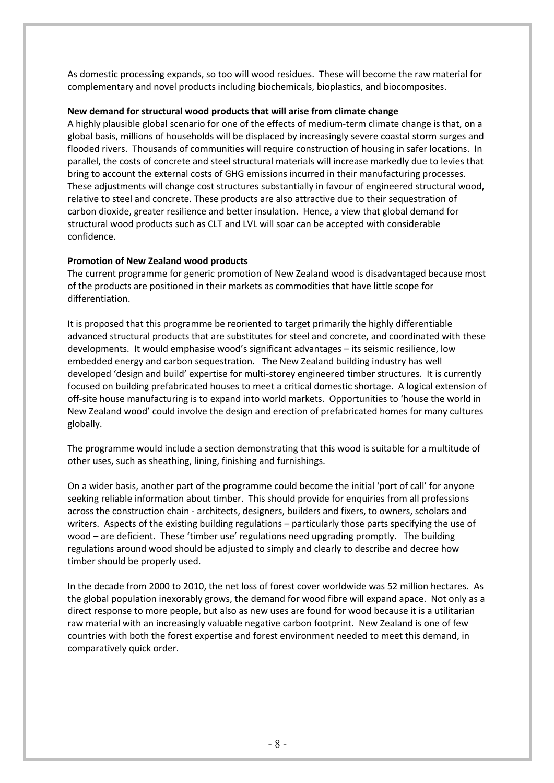As domestic processing expands, so too will wood residues. These will become the raw material for complementary and novel products including biochemicals, bioplastics, and biocomposites.

### **New demand for structural wood products that will arise from climate change**

A highly plausible global scenario for one of the effects of medium-term climate change is that, on a global basis, millions of households will be displaced by increasingly severe coastal storm surges and flooded rivers. Thousands of communities will require construction of housing in safer locations. In parallel, the costs of concrete and steel structural materials will increase markedly due to levies that bring to account the external costs of GHG emissions incurred in their manufacturing processes. These adjustments will change cost structures substantially in favour of engineered structural wood, relative to steel and concrete. These products are also attractive due to their sequestration of carbon dioxide, greater resilience and better insulation. Hence, a view that global demand for structural wood products such as CLT and LVL will soar can be accepted with considerable confidence.

### **Promotion of New Zealand wood products**

The current programme for generic promotion of New Zealand wood is disadvantaged because most of the products are positioned in their markets as commodities that have little scope for differentiation.

It is proposed that this programme be reoriented to target primarily the highly differentiable advanced structural products that are substitutes for steel and concrete, and coordinated with these developments. It would emphasise wood's significant advantages – its seismic resilience, low embedded energy and carbon sequestration. The New Zealand building industry has well developed 'design and build' expertise for multi-storey engineered timber structures. It is currently focused on building prefabricated houses to meet a critical domestic shortage. A logical extension of off-site house manufacturing is to expand into world markets. Opportunities to 'house the world in New Zealand wood' could involve the design and erection of prefabricated homes for many cultures globally.

The programme would include a section demonstrating that this wood is suitable for a multitude of other uses, such as sheathing, lining, finishing and furnishings.

On a wider basis, another part of the programme could become the initial 'port of call' for anyone seeking reliable information about timber. This should provide for enquiries from all professions across the construction chain - architects, designers, builders and fixers, to owners, scholars and writers. Aspects of the existing building regulations – particularly those parts specifying the use of wood – are deficient. These 'timber use' regulations need upgrading promptly. The building regulations around wood should be adjusted to simply and clearly to describe and decree how timber should be properly used.

In the decade from 2000 to 2010, the net loss of forest cover worldwide was 52 million hectares. As the global population inexorably grows, the demand for wood fibre will expand apace. Not only as a direct response to more people, but also as new uses are found for wood because it is a utilitarian raw material with an increasingly valuable negative carbon footprint. New Zealand is one of few countries with both the forest expertise and forest environment needed to meet this demand, in comparatively quick order.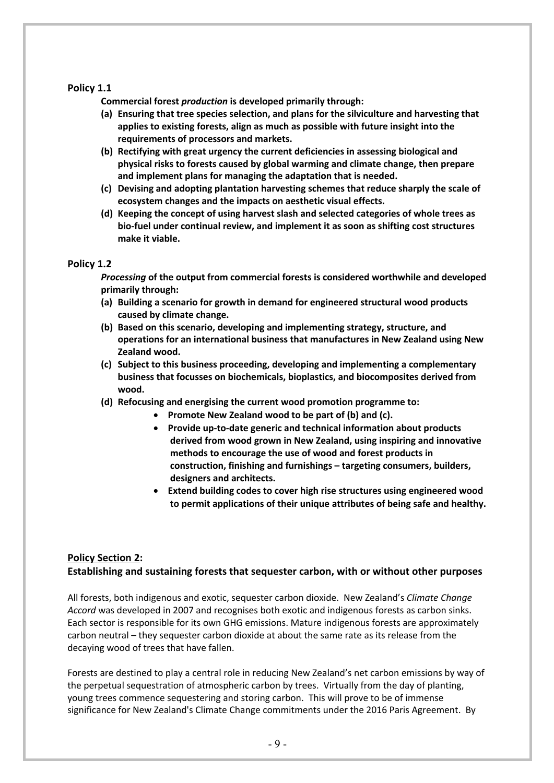### **Policy 1.1**

**Commercial forest** *production* **is developed primarily through:**

- **(a) Ensuring that tree species selection, and plans for the silviculture and harvesting that applies to existing forests, align as much as possible with future insight into the requirements of processors and markets.**
- **(b) Rectifying with great urgency the current deficiencies in assessing biological and physical risks to forests caused by global warming and climate change, then prepare and implement plans for managing the adaptation that is needed.**
- **(c) Devising and adopting plantation harvesting schemes that reduce sharply the scale of ecosystem changes and the impacts on aesthetic visual effects.**
- **(d) Keeping the concept of using harvest slash and selected categories of whole trees as bio-fuel under continual review, and implement it as soon as shifting cost structures make it viable.**

### **Policy 1.2**

*Processing* **of the output from commercial forests is considered worthwhile and developed primarily through:**

- **(a) Building a scenario for growth in demand for engineered structural wood products caused by climate change.**
- **(b) Based on this scenario, developing and implementing strategy, structure, and operations for an international business that manufactures in New Zealand using New Zealand wood.**
- **(c) Subject to this business proceeding, developing and implementing a complementary business that focusses on biochemicals, bioplastics, and biocomposites derived from wood.**
- **(d) Refocusing and energising the current wood promotion programme to:**
	- **Promote New Zealand wood to be part of (b) and (c).**
	- **Provide up-to-date generic and technical information about products derived from wood grown in New Zealand, using inspiring and innovative methods to encourage the use of wood and forest products in construction, finishing and furnishings – targeting consumers, builders, designers and architects.**
	- **Extend building codes to cover high rise structures using engineered wood to permit applications of their unique attributes of being safe and healthy.**

### **Policy Section 2: Establishing and sustaining forests that sequester carbon, with or without other purposes**

All forests, both indigenous and exotic, sequester carbon dioxide. New Zealand's *Climate Change Accord* was developed in 2007 and recognises both exotic and indigenous forests as carbon sinks. Each sector is responsible for its own GHG emissions. Mature indigenous forests are approximately carbon neutral – they sequester carbon dioxide at about the same rate as its release from the decaying wood of trees that have fallen.

Forests are destined to play a central role in reducing New Zealand's net carbon emissions by way of the perpetual sequestration of atmospheric carbon by trees. Virtually from the day of planting, young trees commence sequestering and storing carbon. This will prove to be of immense significance for New Zealand's Climate Change commitments under the 2016 Paris Agreement. By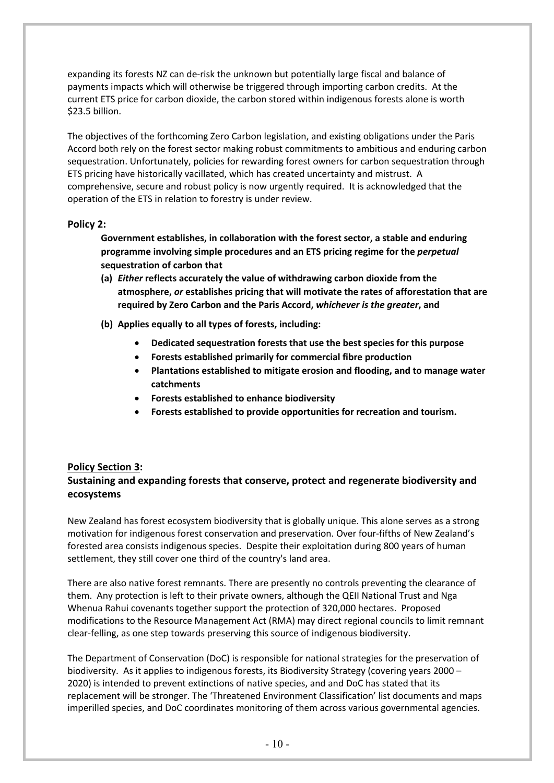expanding its forests NZ can de-risk the unknown but potentially large fiscal and balance of payments impacts which will otherwise be triggered through importing carbon credits. At the current ETS price for carbon dioxide, the carbon stored within indigenous forests alone is worth \$23.5 billion.

The objectives of the forthcoming Zero Carbon legislation, and existing obligations under the Paris Accord both rely on the forest sector making robust commitments to ambitious and enduring carbon sequestration. Unfortunately, policies for rewarding forest owners for carbon sequestration through ETS pricing have historically vacillated, which has created uncertainty and mistrust. A comprehensive, secure and robust policy is now urgently required. It is acknowledged that the operation of the ETS in relation to forestry is under review.

### **Policy 2:**

**Government establishes, in collaboration with the forest sector, a stable and enduring programme involving simple procedures and an ETS pricing regime for the** *perpetual*  **sequestration of carbon that**

- **(a)** *Either* **reflects accurately the value of withdrawing carbon dioxide from the atmosphere,** *or* **establishes pricing that will motivate the rates of afforestation that are required by Zero Carbon and the Paris Accord,** *whichever is the greater***, and**
- **(b) Applies equally to all types of forests, including:** 
	- **Dedicated sequestration forests that use the best species for this purpose**
	- **Forests established primarily for commercial fibre production**
	- **Plantations established to mitigate erosion and flooding, and to manage water catchments**
	- **Forests established to enhance biodiversity**
	- **Forests established to provide opportunities for recreation and tourism.**

### **Policy Section 3:**

### **Sustaining and expanding forests that conserve, protect and regenerate biodiversity and ecosystems**

New Zealand has forest ecosystem biodiversity that is globally unique. This alone serves as a strong motivation for indigenous forest conservation and preservation. Over four-fifths of New Zealand's forested area consists indigenous species. Despite their exploitation during 800 years of human settlement, they still cover one third of the country's land area.

There are also native forest remnants. There are presently no controls preventing the clearance of them. Any protection is left to their private owners, although the QEII National Trust and Nga Whenua Rahui covenants together support the protection of 320,000 hectares. Proposed modifications to the Resource Management Act (RMA) may direct regional councils to limit remnant clear-felling, as one step towards preserving this source of indigenous biodiversity.

The Department of Conservation (DoC) is responsible for national strategies for the preservation of biodiversity. As it applies to indigenous forests, its Biodiversity Strategy (covering years 2000 – 2020) is intended to prevent extinctions of native species, and and DoC has stated that its replacement will be stronger. The 'Threatened Environment Classification' list documents and maps imperilled species, and DoC coordinates monitoring of them across various governmental agencies.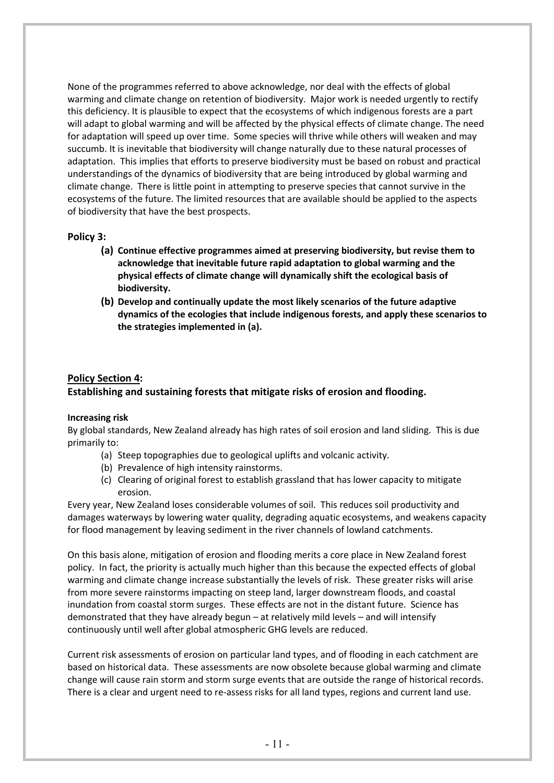None of the programmes referred to above acknowledge, nor deal with the effects of global warming and climate change on retention of biodiversity. Major work is needed urgently to rectify this deficiency. It is plausible to expect that the ecosystems of which indigenous forests are a part will adapt to global warming and will be affected by the physical effects of climate change. The need for adaptation will speed up over time. Some species will thrive while others will weaken and may succumb. It is inevitable that biodiversity will change naturally due to these natural processes of adaptation. This implies that efforts to preserve biodiversity must be based on robust and practical understandings of the dynamics of biodiversity that are being introduced by global warming and climate change. There is little point in attempting to preserve species that cannot survive in the ecosystems of the future. The limited resources that are available should be applied to the aspects of biodiversity that have the best prospects.

### **Policy 3:**

- **(a) Continue effective programmes aimed at preserving biodiversity, but revise them to acknowledge that inevitable future rapid adaptation to global warming and the physical effects of climate change will dynamically shift the ecological basis of biodiversity.**
- **(b) Develop and continually update the most likely scenarios of the future adaptive dynamics of the ecologies that include indigenous forests, and apply these scenarios to the strategies implemented in (a).**

### **Policy Section 4: Establishing and sustaining forests that mitigate risks of erosion and flooding.**

#### **Increasing risk**

By global standards, New Zealand already has high rates of soil erosion and land sliding. This is due primarily to:

- (a) Steep topographies due to geological uplifts and volcanic activity.
- (b) Prevalence of high intensity rainstorms.
- (c) Clearing of original forest to establish grassland that has lower capacity to mitigate erosion.

Every year, New Zealand loses considerable volumes of soil. This reduces soil productivity and damages waterways by lowering water quality, degrading aquatic ecosystems, and weakens capacity for flood management by leaving sediment in the river channels of lowland catchments.

On this basis alone, mitigation of erosion and flooding merits a core place in New Zealand forest policy. In fact, the priority is actually much higher than this because the expected effects of global warming and climate change increase substantially the levels of risk. These greater risks will arise from more severe rainstorms impacting on steep land, larger downstream floods, and coastal inundation from coastal storm surges. These effects are not in the distant future. Science has demonstrated that they have already begun – at relatively mild levels – and will intensify continuously until well after global atmospheric GHG levels are reduced.

Current risk assessments of erosion on particular land types, and of flooding in each catchment are based on historical data. These assessments are now obsolete because global warming and climate change will cause rain storm and storm surge events that are outside the range of historical records. There is a clear and urgent need to re-assess risks for all land types, regions and current land use.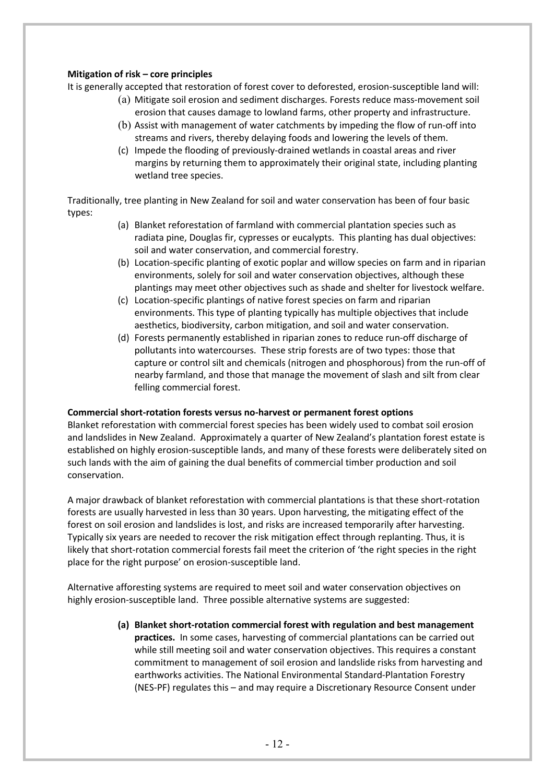### **Mitigation of risk – core principles**

It is generally accepted that restoration of forest cover to deforested, erosion-susceptible land will:

- (a) Mitigate soil erosion and sediment discharges. Forests reduce mass-movement soil erosion that causes damage to lowland farms, other property and infrastructure.
- (b) Assist with management of water catchments by impeding the flow of run-off into streams and rivers, thereby delaying foods and lowering the levels of them.
- (c) Impede the flooding of previously-drained wetlands in coastal areas and river margins by returning them to approximately their original state, including planting wetland tree species.

Traditionally, tree planting in New Zealand for soil and water conservation has been of four basic types:

- (a) Blanket reforestation of farmland with commercial plantation species such as radiata pine, Douglas fir, cypresses or eucalypts. This planting has dual objectives: soil and water conservation, and commercial forestry.
- (b) Location-specific planting of exotic poplar and willow species on farm and in riparian environments, solely for soil and water conservation objectives, although these plantings may meet other objectives such as shade and shelter for livestock welfare.
- (c) Location-specific plantings of native forest species on farm and riparian environments. This type of planting typically has multiple objectives that include aesthetics, biodiversity, carbon mitigation, and soil and water conservation.
- (d) Forests permanently established in riparian zones to reduce run-off discharge of pollutants into watercourses. These strip forests are of two types: those that capture or control silt and chemicals (nitrogen and phosphorous) from the run-off of nearby farmland, and those that manage the movement of slash and silt from clear felling commercial forest.

#### **Commercial short-rotation forests versus no-harvest or permanent forest options**

Blanket reforestation with commercial forest species has been widely used to combat soil erosion and landslides in New Zealand. Approximately a quarter of New Zealand's plantation forest estate is established on highly erosion-susceptible lands, and many of these forests were deliberately sited on such lands with the aim of gaining the dual benefits of commercial timber production and soil conservation.

A major drawback of blanket reforestation with commercial plantations is that these short-rotation forests are usually harvested in less than 30 years. Upon harvesting, the mitigating effect of the forest on soil erosion and landslides is lost, and risks are increased temporarily after harvesting. Typically six years are needed to recover the risk mitigation effect through replanting. Thus, it is likely that short-rotation commercial forests fail meet the criterion of 'the right species in the right place for the right purpose' on erosion-susceptible land.

Alternative afforesting systems are required to meet soil and water conservation objectives on highly erosion-susceptible land. Three possible alternative systems are suggested:

> **(a) Blanket short-rotation commercial forest with regulation and best management practices.**In some cases, harvesting of commercial plantations can be carried out while still meeting soil and water conservation objectives. This requires a constant commitment to management of soil erosion and landslide risks from harvesting and earthworks activities. The National Environmental Standard-Plantation Forestry (NES-PF) regulates this – and may require a Discretionary Resource Consent under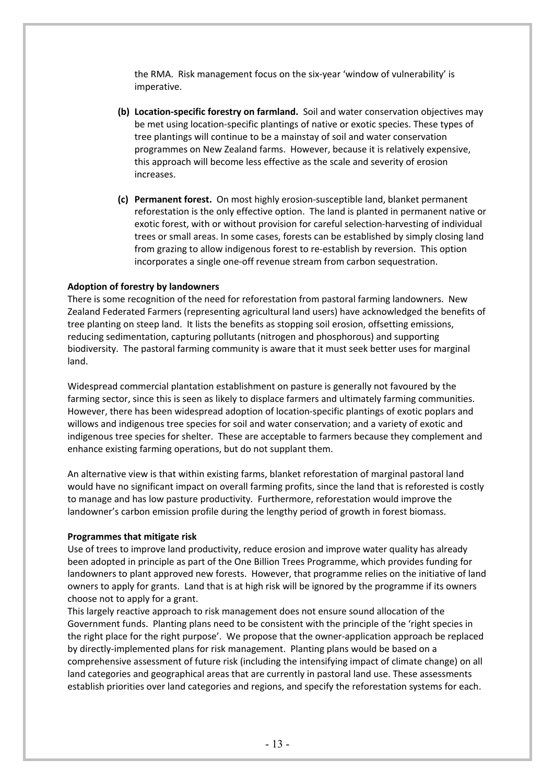the RMA. Risk management focus on the six-year 'window of vulnerability' is imperative.

- **(b) Location-specific forestry on farmland.** Soil and water conservation objectives may be met using location-specific plantings of native or exotic species. These types of tree plantings will continue to be a mainstay of soil and water conservation programmes on New Zealand farms. However, because it is relatively expensive, this approach will become less effective as the scale and severity of erosion increases.
- **(c) Permanent forest.** On most highly erosion-susceptible land, blanket permanent reforestation is the only effective option. The land is planted in permanent native or exotic forest, with or without provision for careful selection-harvesting of individual trees or small areas. In some cases, forests can be established by simply closing land from grazing to allow indigenous forest to re-establish by reversion. This option incorporates a single one-off revenue stream from carbon sequestration.

### **Adoption of forestry by landowners**

There is some recognition of the need for reforestation from pastoral farming landowners. New Zealand Federated Farmers (representing agricultural land users) have acknowledged the benefits of tree planting on steep land. It lists the benefits as stopping soil erosion, offsetting emissions, reducing sedimentation, capturing pollutants (nitrogen and phosphorous) and supporting biodiversity. The pastoral farming community is aware that it must seek better uses for marginal land.

Widespread commercial plantation establishment on pasture is generally not favoured by the farming sector, since this is seen as likely to displace farmers and ultimately farming communities. However, there has been widespread adoption of location-specific plantings of exotic poplars and willows and indigenous tree species for soil and water conservation; and a variety of exotic and indigenous tree species for shelter. These are acceptable to farmers because they complement and enhance existing farming operations, but do not supplant them.

An alternative view is that within existing farms, blanket reforestation of marginal pastoral land would have no significant impact on overall farming profits, since the land that is reforested is costly to manage and has low pasture productivity. Furthermore, reforestation would improve the landowner's carbon emission profile during the lengthy period of growth in forest biomass.

#### **Programmes that mitigate risk**

Use of trees to improve land productivity, reduce erosion and improve water quality has already been adopted in principle as part of the One Billion Trees Programme, which provides funding for landowners to plant approved new forests. However, that programme relies on the initiative of land owners to apply for grants. Land that is at high risk will be ignored by the programme if its owners choose not to apply for a grant.

This largely reactive approach to risk management does not ensure sound allocation of the Government funds. Planting plans need to be consistent with the principle of the 'right species in the right place for the right purpose'. We propose that the owner-application approach be replaced by directly-implemented plans for risk management. Planting plans would be based on a comprehensive assessment of future risk (including the intensifying impact of climate change) on all land categories and geographical areas that are currently in pastoral land use. These assessments establish priorities over land categories and regions, and specify the reforestation systems for each.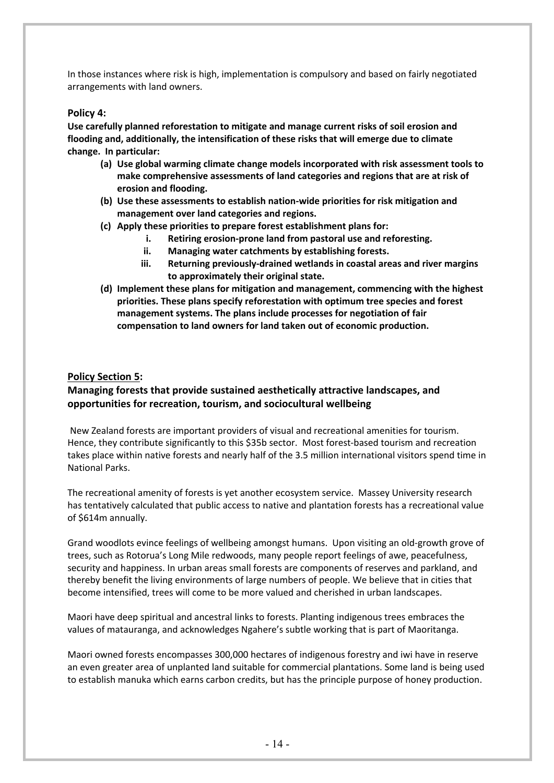In those instances where risk is high, implementation is compulsory and based on fairly negotiated arrangements with land owners.

### **Policy 4:**

**Use carefully planned reforestation to mitigate and manage current risks of soil erosion and flooding and, additionally, the intensification of these risks that will emerge due to climate change. In particular:**

- **(a) Use global warming climate change models incorporated with risk assessment tools to make comprehensive assessments of land categories and regions that are at risk of erosion and flooding.**
- **(b) Use these assessments to establish nation-wide priorities for risk mitigation and management over land categories and regions.**
- **(c) Apply these priorities to prepare forest establishment plans for:**
	- **i. Retiring erosion-prone land from pastoral use and reforesting.**
	- **ii. Managing water catchments by establishing forests.**
	- **iii. Returning previously-drained wetlands in coastal areas and river margins to approximately their original state.**
- **(d) Implement these plans for mitigation and management, commencing with the highest priorities. These plans specify reforestation with optimum tree species and forest management systems. The plans include processes for negotiation of fair compensation to land owners for land taken out of economic production.**

### **Policy Section 5:**

### **Managing forests that provide sustained aesthetically attractive landscapes, and opportunities for recreation, tourism, and sociocultural wellbeing**

New Zealand forests are important providers of visual and recreational amenities for tourism. Hence, they contribute significantly to this \$35b sector. Most forest-based tourism and recreation takes place within native forests and nearly half of the 3.5 million international visitors spend time in National Parks.

The recreational amenity of forests is yet another ecosystem service. Massey University research has tentatively calculated that public access to native and plantation forests has a recreational value of \$614m annually.

Grand woodlots evince feelings of wellbeing amongst humans. Upon visiting an old-growth grove of trees, such as Rotorua's Long Mile redwoods, many people report feelings of awe, peacefulness, security and happiness. In urban areas small forests are components of reserves and parkland, and thereby benefit the living environments of large numbers of people. We believe that in cities that become intensified, trees will come to be more valued and cherished in urban landscapes.

Maori have deep spiritual and ancestral links to forests. Planting indigenous trees embraces the values of matauranga, and acknowledges Ngahere's subtle working that is part of Maoritanga.

Maori owned forests encompasses 300,000 hectares of indigenous forestry and iwi have in reserve an even greater area of unplanted land suitable for commercial plantations. Some land is being used to establish manuka which earns carbon credits, but has the principle purpose of honey production.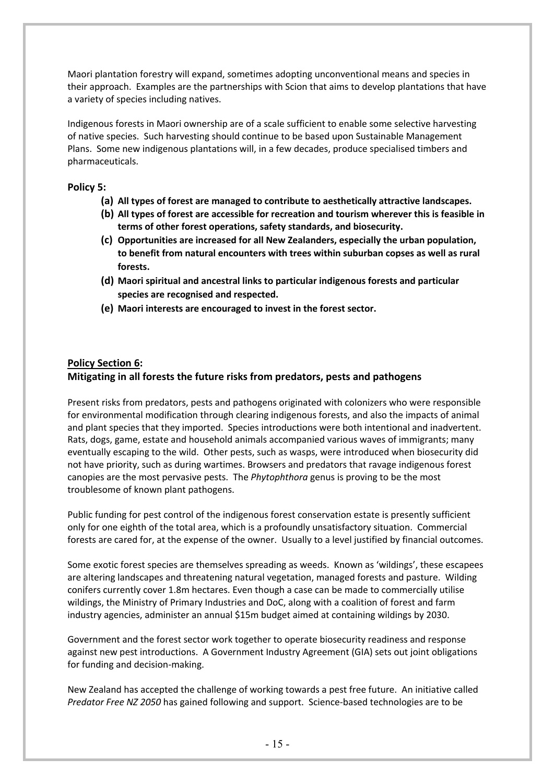Maori plantation forestry will expand, sometimes adopting unconventional means and species in their approach. Examples are the partnerships with Scion that aims to develop plantations that have a variety of species including natives.

Indigenous forests in Maori ownership are of a scale sufficient to enable some selective harvesting of native species. Such harvesting should continue to be based upon Sustainable Management Plans. Some new indigenous plantations will, in a few decades, produce specialised timbers and pharmaceuticals.

### **Policy 5:**

- **(a) All types of forest are managed to contribute to aesthetically attractive landscapes.**
- **(b) All types of forest are accessible for recreation and tourism wherever this is feasible in terms of other forest operations, safety standards, and biosecurity.**
- **(c) Opportunities are increased for all New Zealanders, especially the urban population, to benefit from natural encounters with trees within suburban copses as well as rural forests.**
- **(d) Maori spiritual and ancestral links to particular indigenous forests and particular species are recognised and respected.**
- **(e) Maori interests are encouraged to invest in the forest sector.**

### **Policy Section 6: Mitigating in all forests the future risks from predators, pests and pathogens**

Present risks from predators, pests and pathogens originated with colonizers who were responsible for environmental modification through clearing indigenous forests, and also the impacts of animal and plant species that they imported. Species introductions were both intentional and inadvertent. Rats, dogs, game, estate and household animals accompanied various waves of immigrants; many eventually escaping to the wild. Other pests, such as wasps, were introduced when biosecurity did not have priority, such as during wartimes. Browsers and predators that ravage indigenous forest canopies are the most pervasive pests. The *Phytophthora* genus is proving to be the most troublesome of known plant pathogens.

Public funding for pest control of the indigenous forest conservation estate is presently sufficient only for one eighth of the total area, which is a profoundly unsatisfactory situation. Commercial forests are cared for, at the expense of the owner. Usually to a level justified by financial outcomes.

Some exotic forest species are themselves spreading as weeds. Known as 'wildings', these escapees are altering landscapes and threatening natural vegetation, managed forests and pasture. Wilding conifers currently cover 1.8m hectares. Even though a case can be made to commercially utilise wildings, the Ministry of Primary Industries and DoC, along with a coalition of forest and farm industry agencies, administer an annual \$15m budget aimed at containing wildings by 2030.

Government and the forest sector work together to operate biosecurity readiness and response against new pest introductions. A Government Industry Agreement (GIA) sets out joint obligations for funding and decision-making.

New Zealand has accepted the challenge of working towards a pest free future. An initiative called *Predator Free NZ 2050* has gained following and support. Science-based technologies are to be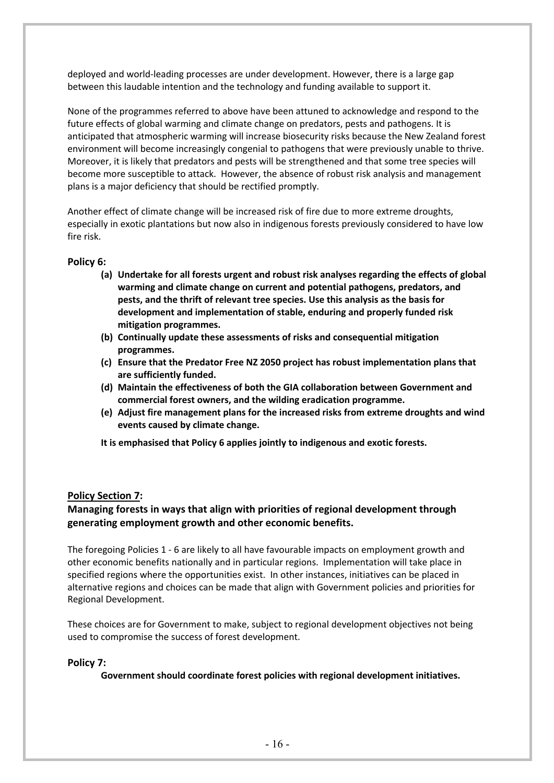deployed and world-leading processes are under development. However, there is a large gap between this laudable intention and the technology and funding available to support it.

None of the programmes referred to above have been attuned to acknowledge and respond to the future effects of global warming and climate change on predators, pests and pathogens. It is anticipated that atmospheric warming will increase biosecurity risks because the New Zealand forest environment will become increasingly congenial to pathogens that were previously unable to thrive. Moreover, it is likely that predators and pests will be strengthened and that some tree species will become more susceptible to attack. However, the absence of robust risk analysis and management plans is a major deficiency that should be rectified promptly.

Another effect of climate change will be increased risk of fire due to more extreme droughts, especially in exotic plantations but now also in indigenous forests previously considered to have low fire risk.

### **Policy 6:**

- **(a) Undertake for all forests urgent and robust risk analyses regarding the effects of global warming and climate change on current and potential pathogens, predators, and pests, and the thrift of relevant tree species. Use this analysis as the basis for development and implementation of stable, enduring and properly funded risk mitigation programmes.**
- **(b) Continually update these assessments of risks and consequential mitigation programmes.**
- **(c) Ensure that the Predator Free NZ 2050 project has robust implementation plans that are sufficiently funded.**
- **(d) Maintain the effectiveness of both the GIA collaboration between Government and commercial forest owners, and the wilding eradication programme.**
- **(e) Adjust fire management plans for the increased risks from extreme droughts and wind events caused by climate change.**
- **It is emphasised that Policy 6 applies jointly to indigenous and exotic forests.**

### **Policy Section 7:**

### **Managing forests in ways that align with priorities of regional development through generating employment growth and other economic benefits.**

The foregoing Policies 1 - 6 are likely to all have favourable impacts on employment growth and other economic benefits nationally and in particular regions. Implementation will take place in specified regions where the opportunities exist. In other instances, initiatives can be placed in alternative regions and choices can be made that align with Government policies and priorities for Regional Development.

These choices are for Government to make, subject to regional development objectives not being used to compromise the success of forest development.

#### **Policy 7:**

**Government should coordinate forest policies with regional development initiatives.**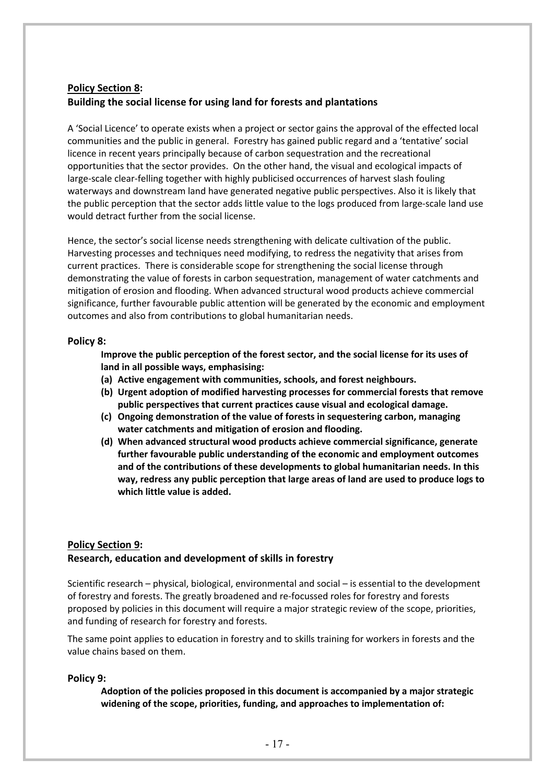### **Policy Section 8: Building the social license for using land for forests and plantations**

A 'Social Licence' to operate exists when a project or sector gains the approval of the effected local communities and the public in general. Forestry has gained public regard and a 'tentative' social licence in recent years principally because of carbon sequestration and the recreational opportunities that the sector provides. On the other hand, the visual and ecological impacts of large-scale clear-felling together with highly publicised occurrences of harvest slash fouling waterways and downstream land have generated negative public perspectives. Also it is likely that the public perception that the sector adds little value to the logs produced from large-scale land use would detract further from the social license.

Hence, the sector's social license needs strengthening with delicate cultivation of the public. Harvesting processes and techniques need modifying, to redress the negativity that arises from current practices. There is considerable scope for strengthening the social license through demonstrating the value of forests in carbon sequestration, management of water catchments and mitigation of erosion and flooding. When advanced structural wood products achieve commercial significance, further favourable public attention will be generated by the economic and employment outcomes and also from contributions to global humanitarian needs.

### **Policy 8:**

**Improve the public perception of the forest sector, and the social license for its uses of land in all possible ways, emphasising:**

- **(a) Active engagement with communities, schools, and forest neighbours.**
- **(b) Urgent adoption of modified harvesting processes for commercial forests that remove public perspectives that current practices cause visual and ecological damage.**
- **(c) Ongoing demonstration of the value of forests in sequestering carbon, managing water catchments and mitigation of erosion and flooding.**
- **(d) When advanced structural wood products achieve commercial significance, generate further favourable public understanding of the economic and employment outcomes and of the contributions of these developments to global humanitarian needs. In this way, redress any public perception that large areas of land are used to produce logs to which little value is added.**

### **Policy Section 9: Research, education and development of skills in forestry**

Scientific research – physical, biological, environmental and social – is essential to the development of forestry and forests. The greatly broadened and re-focussed roles for forestry and forests proposed by policies in this document will require a major strategic review of the scope, priorities, and funding of research for forestry and forests.

The same point applies to education in forestry and to skills training for workers in forests and the value chains based on them.

### **Policy 9:**

**Adoption of the policies proposed in this document is accompanied by a major strategic widening of the scope, priorities, funding, and approaches to implementation of:**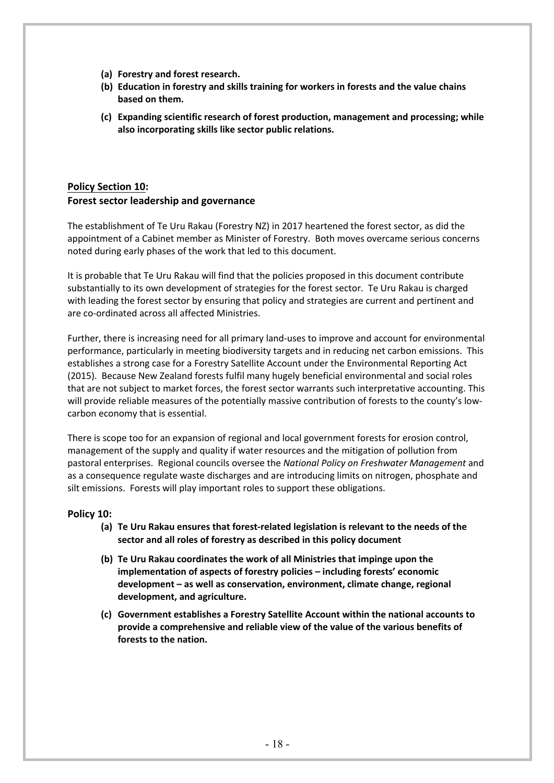- **(a) Forestry and forest research.**
- **(b) Education in forestry and skills training for workers in forests and the value chains based on them.**
- **(c) Expanding scientific research of forest production, management and processing; while also incorporating skills like sector public relations.**

# **Policy Section 10: Forest sector leadership and governance**

The establishment of Te Uru Rakau (Forestry NZ) in 2017 heartened the forest sector, as did the appointment of a Cabinet member as Minister of Forestry. Both moves overcame serious concerns noted during early phases of the work that led to this document.

It is probable that Te Uru Rakau will find that the policies proposed in this document contribute substantially to its own development of strategies for the forest sector. Te Uru Rakau is charged with leading the forest sector by ensuring that policy and strategies are current and pertinent and are co-ordinated across all affected Ministries.

Further, there is increasing need for all primary land-uses to improve and account for environmental performance, particularly in meeting biodiversity targets and in reducing net carbon emissions. This establishes a strong case for a Forestry Satellite Account under the Environmental Reporting Act (2015). Because New Zealand forests fulfil many hugely beneficial environmental and social roles that are not subject to market forces, the forest sector warrants such interpretative accounting. This will provide reliable measures of the potentially massive contribution of forests to the county's lowcarbon economy that is essential.

There is scope too for an expansion of regional and local government forests for erosion control, management of the supply and quality if water resources and the mitigation of pollution from pastoral enterprises. Regional councils oversee the *National Policy on Freshwater Management* and as a consequence regulate waste discharges and are introducing limits on nitrogen, phosphate and silt emissions. Forests will play important roles to support these obligations.

### **Policy 10:**

- **(a) Te Uru Rakau ensures that forest-related legislation is relevant to the needs of the sector and all roles of forestry as described in this policy document**
- **(b) Te Uru Rakau coordinates the work of all Ministries that impinge upon the implementation of aspects of forestry policies – including forests' economic development – as well as conservation, environment, climate change, regional development, and agriculture.**
- **(c) Government establishes a Forestry Satellite Account within the national accounts to provide a comprehensive and reliable view of the value of the various benefits of forests to the nation.**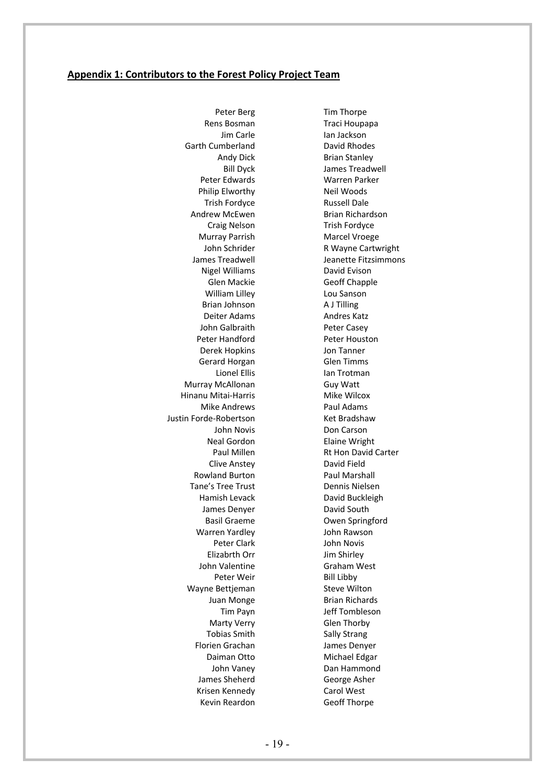#### **Appendix 1: Contributors to the Forest Policy Project Team**

Peter Berg Rens Bosman Jim Carle Garth Cumberland Andy Dick Bill Dyck Peter Edwards Philip Elworthy Trish Fordyce Andrew McEwen Craig Nelson Murray Parrish John Schrider James Treadwell Nigel Williams Glen Mackie William Lilley Brian Johnson Deiter Adams John Galbraith Peter Handford Derek Hopkins Gerard Horgan Lionel Ellis Murray McAllonan Hinanu Mitai-Harris Mike Andrews Justin Forde-Robertson John Novis Neal Gordon Paul Millen Clive Anstey Rowland Burton Tane's Tree Trust Hamish Levack James Denyer Basil Graeme Warren Yardley Peter Clark Elizabrth Orr John Valentine Peter Weir Wayne Bettjeman Juan Monge Tim Payn Marty Verry Tobias Smith Florien Grachan Daiman Otto John Vaney James Sheherd Krisen Kennedy Kevin Reardon

Tim Thorpe Traci Houpapa Ian Jackson David Rhodes Brian Stanley James Treadwell Warren Parker Neil Woods Russell Dale Brian Richardson Trish Fordyce Marcel Vroege R Wayne Cartwright Jeanette Fitzsimmons David Evison Geoff Chapple Lou Sanson A J Tilling Andres Katz Peter Casey Peter Houston Jon Tanner Glen Timms Ian Trotman Guy Watt Mike Wilcox Paul Adams Ket Bradshaw Don Carson Elaine Wright Rt Hon David Carter David Field Paul Marshall Dennis Nielsen David Buckleigh David South Owen Springford John Rawson John Novis Jim Shirley Graham West Bill Libby Steve Wilton Brian Richards Jeff Tombleson Glen Thorby Sally Strang James Denyer Michael Edgar Dan Hammond George Asher Carol West Geoff Thorpe